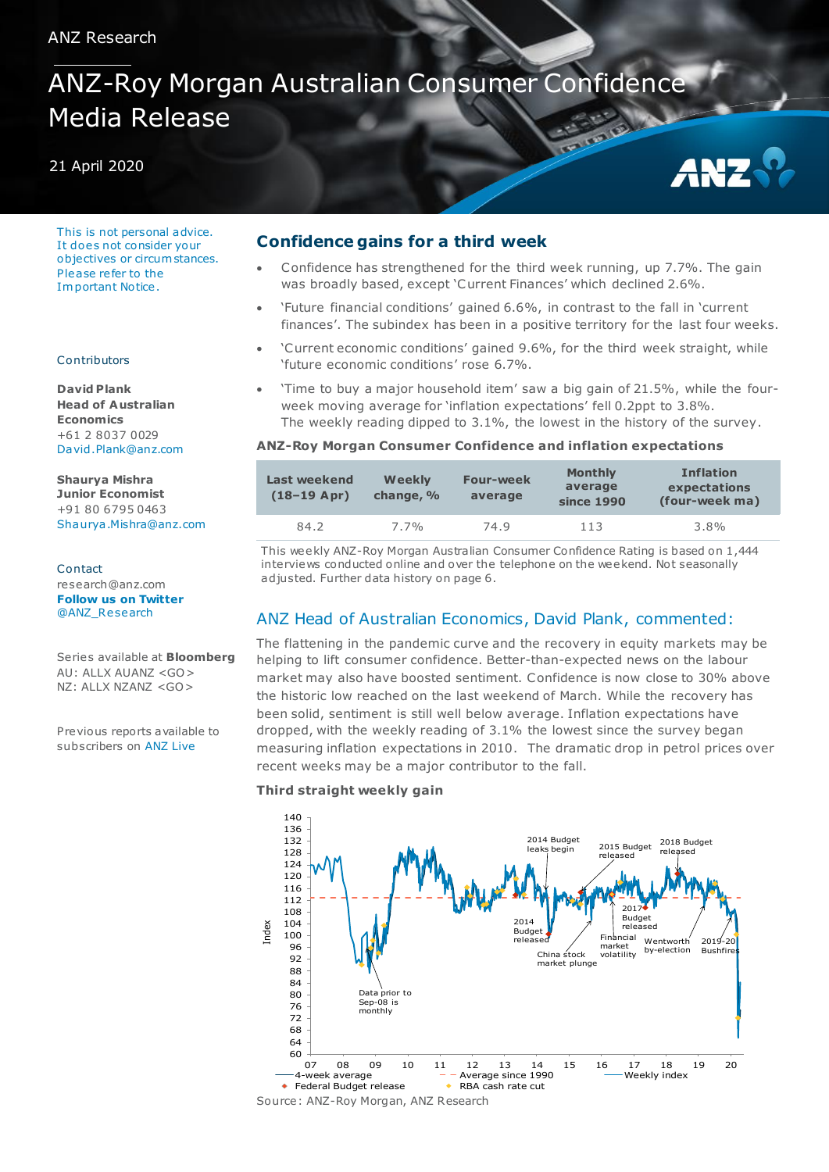# ANZ-Roy Morgan Australian Consumer Confidence Media Release

## 21 April 2020

This is not personal advice. It does not consider your objectives or circum stances. Please re fer to the Im portant Notice .

#### Contributors

**David Plank Head of A ustralian Economics** +61 2 8037 0029 [David.Plank@anz.com](mailto:David.Plank@anz.com)

**Shaurya Mishra Junior Economist** +91 80 6795 0463 [Shaurya .Mishra@anz.com](mailto:Shaurya.Mishra@anz.com) 

Contact research@anz.com **[Follow us on Twitter](http://twitter.com/ANZ_Research)** [@ANZ\\_Research](http://twitter.com/ANZ_Research)

Series available at **Bloomberg** AU: ALLX AUANZ <GO> NZ: ALLX NZANZ <GO>

Previous reports available to subscribers on [ANZ Live](https://anzlive.secure.force.com/cms__Main?name=Publications&tags=Publications%2FANZ-Roy+Morgan+Consumer+Confidence)

## **Confidence gains for a third week**

 Confidence has strengthened for the third week running, up 7.7%. The gain was broadly based, except 'Current Finances' which declined 2.6%.

ANZ

- 'Future financial conditions' gained 6.6%, in contrast to the fall in 'current finances'. The subindex has been in a positive territory for the last four weeks.
- 'Current economic conditions' gained 9.6%, for the third week straight, while 'future economic conditions' rose 6.7%.
- 'Time to buy a major household item' saw a big gain of 21.5%, while the fourweek moving average for 'inflation expectations' fell 0.2ppt to 3.8%. The weekly reading dipped to 3.1%, the lowest in the history of the survey.

## **ANZ-Roy Morgan Consumer Confidence and inflation expectations**

| Last weekend<br>$(18-19$ Apr) | <b>Weekly</b><br>change, % | <b>Four-week</b><br>average | <b>Monthly</b><br>average<br>since 1990 | <b>Inflation</b><br>expectations<br>(four-week ma) |
|-------------------------------|----------------------------|-----------------------------|-----------------------------------------|----------------------------------------------------|
| 84.2                          | $7.7\%$                    | 74.9                        | 113                                     | $3.8\%$                                            |

This weekly ANZ-Roy Morgan Australian Consumer Confidence Rating is based on 1,444 interviews conducted online and over the telephone on the weekend. Not seasonally adjusted. Further data history on page 6.

# ANZ Head of Australian Economics, David Plank, commented:

The flattening in the pandemic curve and the recovery in equity markets may be helping to lift consumer confidence. Better-than-expected news on the labour market may also have boosted sentiment. Confidence is now close to 30% above the historic low reached on the last weekend of March. While the recovery has been solid, sentiment is still well below average. Inflation expectations have dropped, with the weekly reading of 3.1% the lowest since the survey began measuring inflation expectations in 2010. The dramatic drop in petrol prices over recent weeks may be a major contributor to the fall.

## **Third straight weekly gain**

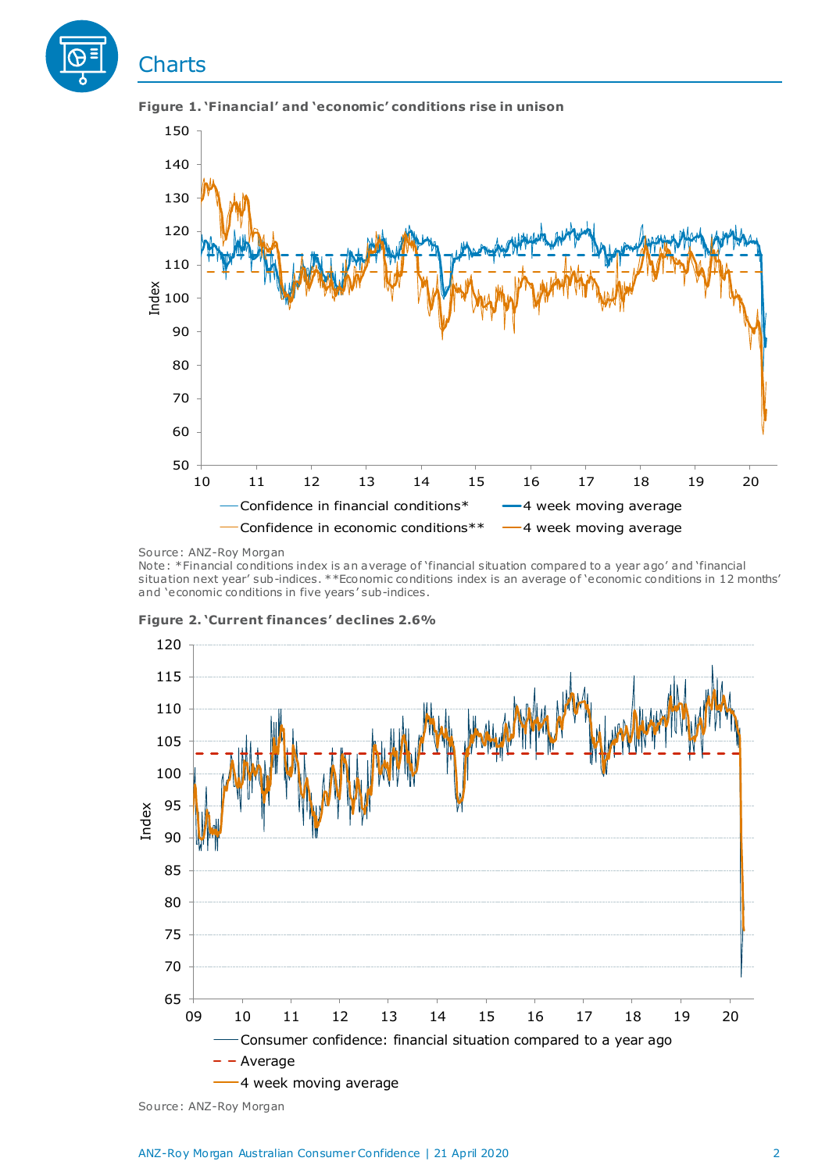

**Figure 1. 'Financial' and 'economic' conditions rise in unison**

Note: \*Financial conditions index is an average of 'financial situation compared to a year ago' and 'financial situation next year' sub-indices. \*\*Economic conditions index is an average o f 'economic conditions in 12 months' and 'economic conditions in five years' sub-indices.



**Figure 2. 'Current finances' declines 2.6%**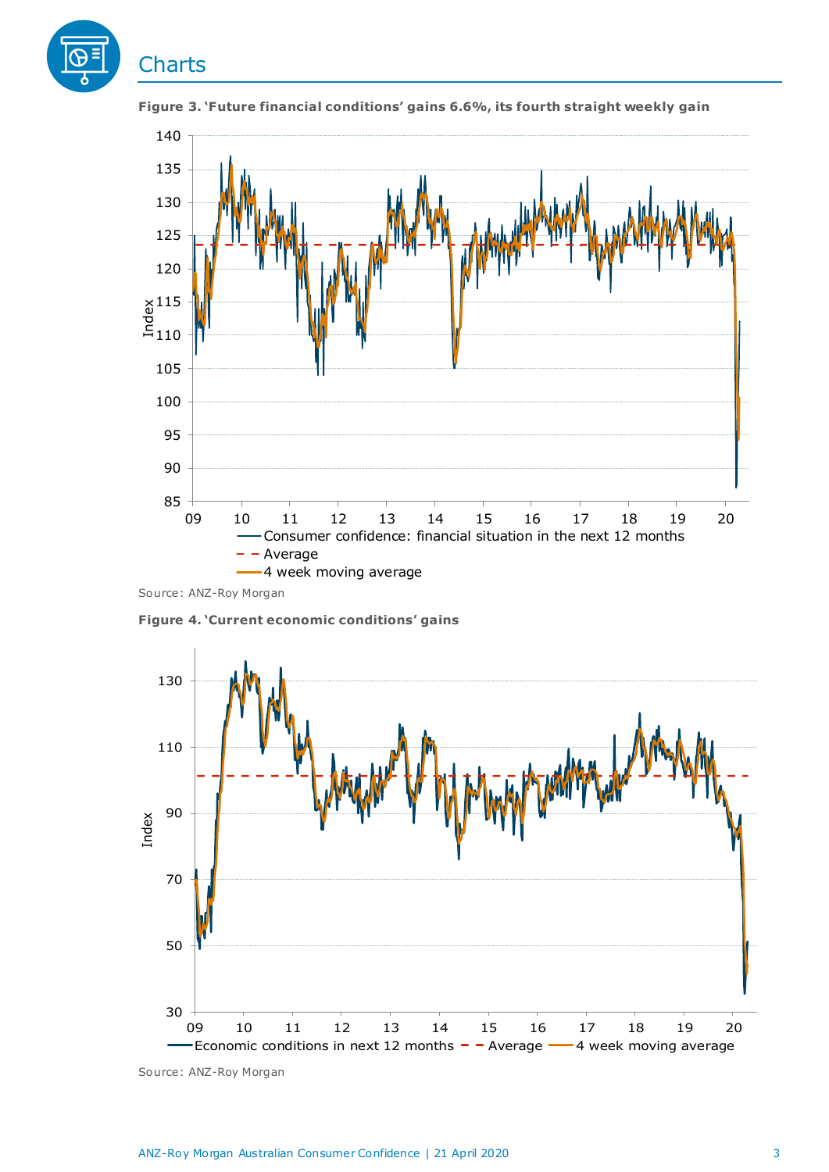



**Figure 3. 'Future financial conditions' gains 6.6%, its fourth straight weekly gain**

Source: ANZ-Roy Morgan

**Figure 4. 'Current economic conditions' gains**

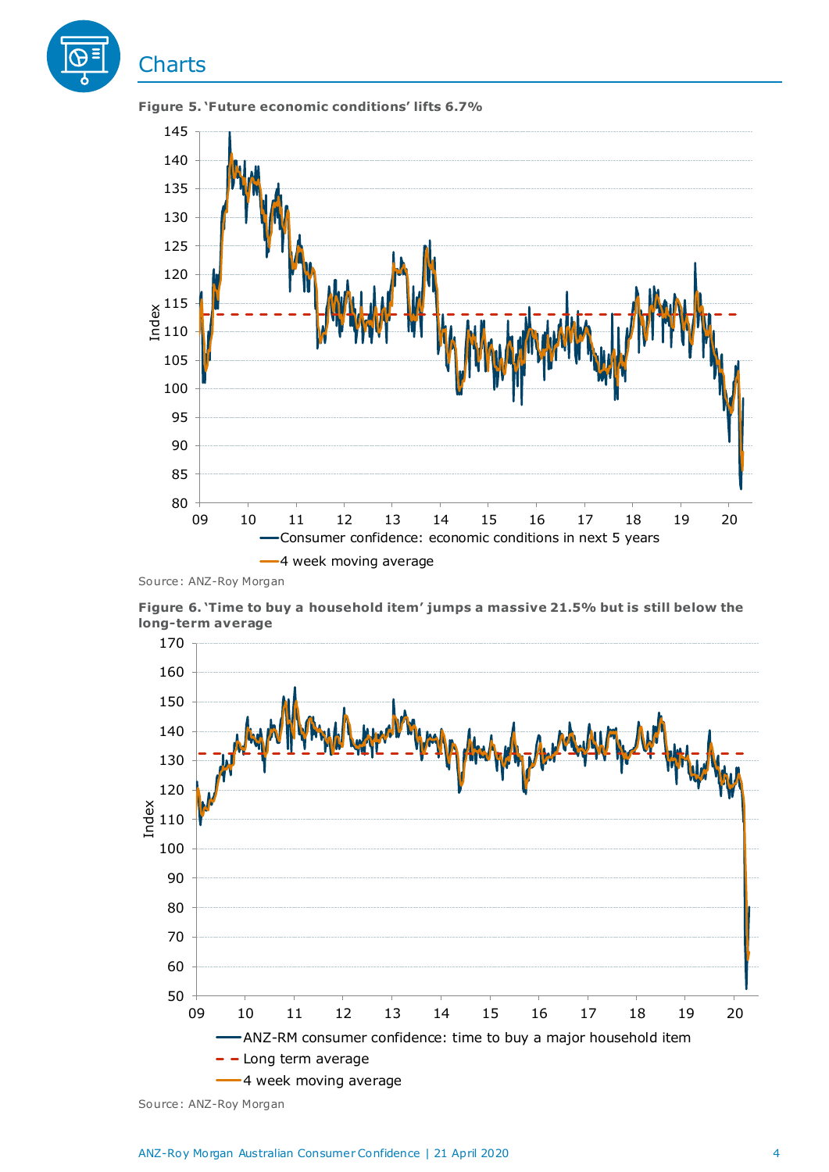

**Figure 6. 'Time to buy a household item' jumps a massive 21.5% but is still below the long-term average**



Source: ANZ-Roy Morgan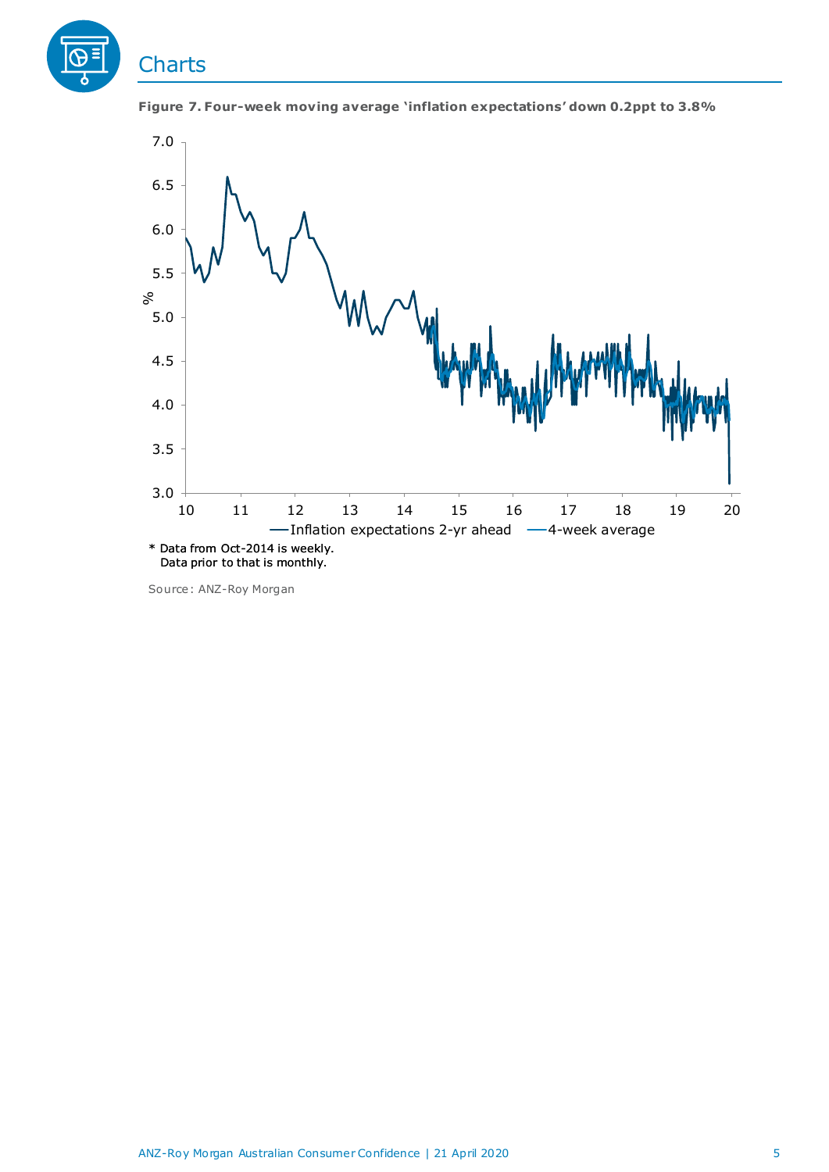





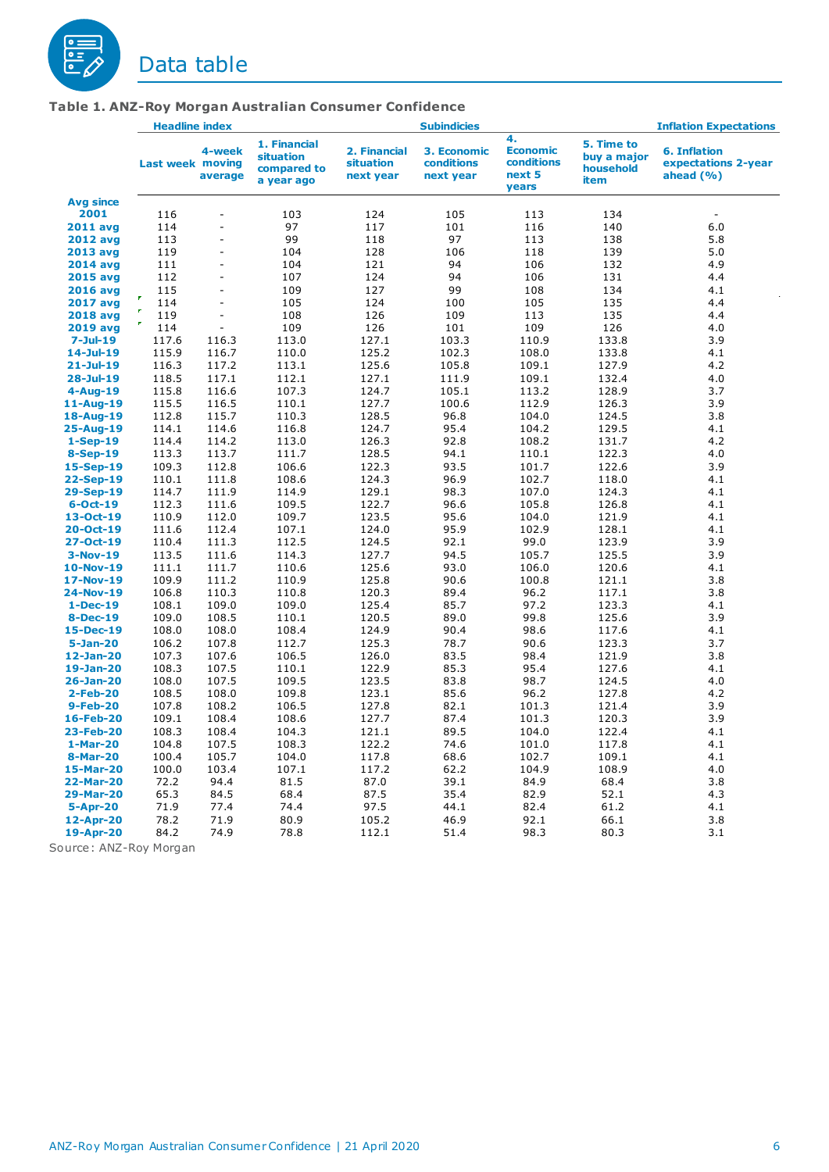

|                  | <b>Headline index</b>   |                   |                                                        | <b>Subindicies</b>                     |                                        |                                                        | <b>Inflation Expectations</b>                  |                                                            |  |
|------------------|-------------------------|-------------------|--------------------------------------------------------|----------------------------------------|----------------------------------------|--------------------------------------------------------|------------------------------------------------|------------------------------------------------------------|--|
|                  | <b>Last week moving</b> | 4-week<br>average | 1. Financial<br>situation<br>compared to<br>a year ago | 2. Financial<br>situation<br>next year | 3. Economic<br>conditions<br>next year | 4.<br><b>Economic</b><br>conditions<br>next 5<br>years | 5. Time to<br>buy a major<br>household<br>item | <b>6. Inflation</b><br>expectations 2-year<br>ahead $(% )$ |  |
| <b>Avg since</b> |                         |                   |                                                        |                                        |                                        |                                                        |                                                |                                                            |  |
| 2001             | 116                     | ÷,                | 103                                                    | 124                                    | 105                                    | 113                                                    | 134                                            | ÷,                                                         |  |
| <b>2011 avg</b>  | 114                     | ä,                | 97                                                     | 117                                    | 101                                    | 116                                                    | 140                                            | 6.0                                                        |  |
| <b>2012 avg</b>  | 113                     | ä,                | 99                                                     | 118                                    | 97                                     | 113                                                    | 138                                            | 5.8                                                        |  |
| 2013 avg         | 119                     | ä,                | 104                                                    | 128                                    | 106                                    | 118                                                    | 139                                            | 5.0                                                        |  |
| <b>2014 avg</b>  | 111                     | ÷,                | 104                                                    | 121                                    | 94                                     | 106                                                    | 132                                            | 4.9                                                        |  |
| <b>2015 avg</b>  | 112                     | $\sim$            | 107                                                    | 124                                    | 94                                     | 106                                                    | 131                                            | 4.4                                                        |  |
| <b>2016 avg</b>  | 115                     | ÷,                | 109                                                    | 127                                    | 99                                     | 108                                                    | 134                                            | 4.1                                                        |  |
| <b>2017 avg</b>  | 114                     | $\Box$            | 105                                                    | 124                                    | 100                                    | 105                                                    | 135                                            | 4.4                                                        |  |
| <b>2018 avg</b>  | P.<br>119               | ä,                | 108                                                    | 126                                    | 109                                    | 113                                                    | 135                                            | 4.4                                                        |  |
| <b>2019 avg</b>  | P.<br>114               | $\bar{a}$         | 109                                                    | 126                                    | 101                                    | 109                                                    | 126                                            | 4.0                                                        |  |
| $7 -$ Jul $-19$  | 117.6                   | 116.3             | 113.0                                                  | 127.1                                  | 103.3                                  | 110.9                                                  | 133.8                                          | 3.9                                                        |  |
| $14$ -Jul-19     | 115.9                   | 116.7             | 110.0                                                  | 125.2                                  | 102.3                                  | 108.0                                                  | 133.8                                          | 4.1                                                        |  |
| $21 -$ Jul-19    | 116.3                   | 117.2             | 113.1                                                  | 125.6                                  | 105.8                                  | 109.1                                                  | 127.9                                          | 4.2                                                        |  |
| $28 - Jul - 19$  | 118.5                   | 117.1             | 112.1                                                  | 127.1                                  | 111.9                                  | 109.1                                                  | 132.4                                          | 4.0                                                        |  |
| $4 - Aug-19$     | 115.8                   | 116.6             | 107.3                                                  | 124.7                                  | 105.1                                  | 113.2                                                  | 128.9                                          | 3.7                                                        |  |
| 11-Aug-19        | 115.5                   | 116.5             | 110.1                                                  | 127.7                                  | 100.6                                  | 112.9                                                  | 126.3                                          | 3.9                                                        |  |
| 18-Aug-19        | 112.8                   | 115.7             | 110.3                                                  | 128.5                                  | 96.8                                   | 104.0                                                  | 124.5                                          | 3.8                                                        |  |
| 25-Aug-19        | 114.1                   | 114.6             | 116.8                                                  | 124.7                                  | 95.4                                   | 104.2                                                  | 129.5                                          | 4.1                                                        |  |
| $1-Sep-19$       | 114.4                   | 114.2             | 113.0                                                  | 126.3                                  | 92.8                                   | 108.2                                                  | 131.7                                          | 4.2                                                        |  |
| <b>8-Sep-19</b>  | 113.3                   | 113.7             | 111.7                                                  | 128.5                                  | 94.1                                   | 110.1                                                  | 122.3                                          | 4.0                                                        |  |
| 15-Sep-19        | 109.3                   | 112.8             | 106.6                                                  | 122.3                                  | 93.5                                   | 101.7                                                  | 122.6                                          | 3.9                                                        |  |
| 22-Sep-19        | 110.1                   | 111.8             | 108.6                                                  | 124.3                                  | 96.9                                   | 102.7                                                  | 118.0                                          | 4.1                                                        |  |
| 29-Sep-19        | 114.7                   | 111.9             | 114.9                                                  | 129.1                                  | 98.3                                   | 107.0                                                  | 124.3                                          | 4.1                                                        |  |
| $6 - Oct - 19$   | 112.3                   | 111.6             | 109.5                                                  | 122.7                                  | 96.6                                   | 105.8                                                  | 126.8                                          | 4.1                                                        |  |
| 13-Oct-19        | 110.9                   | 112.0             | 109.7                                                  | 123.5                                  | 95.6                                   | 104.0                                                  | 121.9                                          | 4.1                                                        |  |
| $20 - Oct - 19$  | 111.6                   | 112.4             | 107.1                                                  | 124.0                                  | 95.9                                   | 102.9                                                  | 128.1                                          | 4.1                                                        |  |
| 27-Oct-19        | 110.4                   | 111.3             | 112.5                                                  | 124.5                                  | 92.1                                   | 99.0                                                   | 123.9                                          | 3.9                                                        |  |
| $3-Nov-19$       | 113.5                   | 111.6             | 114.3                                                  | 127.7                                  | 94.5                                   | 105.7                                                  | 125.5                                          | 3.9                                                        |  |
| 10-Nov-19        | 111.1                   | 111.7             | 110.6                                                  | 125.6                                  | 93.0                                   | 106.0                                                  | 120.6                                          | 4.1                                                        |  |
| 17-Nov-19        | 109.9                   | 111.2             | 110.9                                                  | 125.8                                  | 90.6                                   | 100.8                                                  | 121.1                                          | 3.8                                                        |  |
| 24-Nov-19        | 106.8                   | 110.3             | 110.8                                                  | 120.3                                  | 89.4                                   | 96.2                                                   | 117.1                                          | 3.8                                                        |  |
| $1 - Dec-19$     | 108.1                   | 109.0             | 109.0                                                  | 125.4                                  | 85.7                                   | 97.2                                                   | 123.3                                          | 4.1                                                        |  |
| <b>8-Dec-19</b>  | 109.0                   | 108.5             | 110.1                                                  | 120.5                                  | 89.0                                   | 99.8                                                   | 125.6                                          | 3.9                                                        |  |
| 15-Dec-19        | 108.0                   | 108.0             | 108.4                                                  | 124.9                                  | 90.4                                   | 98.6                                                   | 117.6                                          | 4.1                                                        |  |
| $5 - Jan-20$     | 106.2                   | 107.8             | 112.7                                                  | 125.3                                  | 78.7                                   | 90.6                                                   | 123.3                                          | 3.7                                                        |  |
| 12-Jan-20        | 107.3                   | 107.6             | 106.5                                                  | 126.0                                  | 83.5                                   | 98.4                                                   | 121.9                                          | 3.8                                                        |  |
| 19-Jan-20        | 108.3                   | 107.5             | 110.1                                                  | 122.9                                  | 85.3                                   | 95.4                                                   | 127.6                                          | 4.1                                                        |  |
| 26-Jan-20        | 108.0                   | 107.5             | 109.5                                                  | 123.5                                  | 83.8                                   | 98.7                                                   | 124.5                                          | 4.0                                                        |  |
| <b>2-Feb-20</b>  | 108.5                   | 108.0             | 109.8                                                  | 123.1                                  | 85.6                                   | 96.2                                                   | 127.8                                          | 4.2                                                        |  |
| <b>9-Feb-20</b>  | 107.8                   | 108.2             | 106.5                                                  | 127.8                                  | 82.1                                   | 101.3                                                  | 121.4                                          | 3.9                                                        |  |
| 16-Feb-20        | 109.1                   | 108.4             | 108.6                                                  | 127.7                                  | 87.4                                   | 101.3                                                  | 120.3                                          | 3.9                                                        |  |
| 23-Feb-20        | 108.3                   | 108.4             | 104.3                                                  | 121.1                                  | 89.5                                   | 104.0                                                  | 122.4                                          | 4.1                                                        |  |
| 1-Mar-20         | 104.8                   | 107.5             | 108.3                                                  | 122.2                                  | 74.6                                   | 101.0                                                  | 117.8                                          | 4.1                                                        |  |
| 8-Mar-20         | 100.4                   | 105.7             | 104.0                                                  | 117.8                                  | 68.6                                   | 102.7                                                  | 109.1                                          | 4.1                                                        |  |
| 15-Mar-20        | 100.0                   | 103.4             | 107.1                                                  | 117.2                                  | 62.2                                   | 104.9                                                  | 108.9                                          | 4.0                                                        |  |
| 22-Mar-20        | 72.2                    | 94.4              | 81.5                                                   | 87.0                                   | 39.1                                   | 84.9                                                   | 68.4                                           | 3.8                                                        |  |
| 29-Mar-20        | 65.3                    | 84.5              | 68.4                                                   | 87.5                                   | 35.4                                   | 82.9                                                   | 52.1                                           | 4.3                                                        |  |
| $5 - Apr - 20$   | 71.9                    | 77.4              | 74.4                                                   | 97.5                                   | 44.1                                   | 82.4                                                   | 61.2                                           | 4.1                                                        |  |
| 12-Apr-20        | 78.2                    | 71.9              | 80.9                                                   | 105.2                                  | 46.9                                   | 92.1                                                   | 66.1                                           | 3.8                                                        |  |
| 19-Apr-20        | 84.2                    | 74.9              | 78.8                                                   | 112.1                                  | 51.4                                   | 98.3                                                   | 80.3                                           | 3.1                                                        |  |